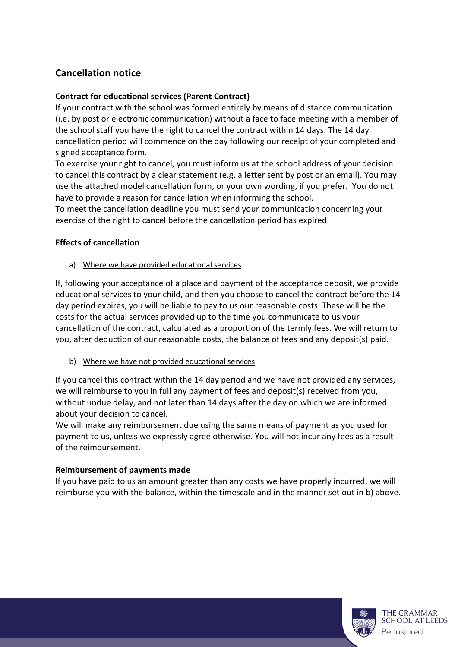# **Cancellation notice**

### **Contract for educational services (Parent Contract)**

If your contract with the school was formed entirely by means of distance communication (i.e. by post or electronic communication) without a face to face meeting with a member of the school staff you have the right to cancel the contract within 14 days. The 14 day cancellation period will commence on the day following our receipt of your completed and signed acceptance form.

To exercise your right to cancel, you must inform us at the school address of your decision to cancel this contract by a clear statement (e.g. a letter sent by post or an email). You may use the attached model cancellation form, or your own wording, if you prefer. You do not have to provide a reason for cancellation when informing the school.

To meet the cancellation deadline you must send your communication concerning your exercise of the right to cancel before the cancellation period has expired.

#### **Effects of cancellation**

a) Where we have provided educational services

If, following your acceptance of a place and payment of the acceptance deposit, we provide educational services to your child, and then you choose to cancel the contract before the 14 day period expires, you will be liable to pay to us our reasonable costs. These will be the costs for the actual services provided up to the time you communicate to us your cancellation of the contract, calculated as a proportion of the termly fees. We will return to you, after deduction of our reasonable costs, the balance of fees and any deposit(s) paid.

b) Where we have not provided educational services

If you cancel this contract within the 14 day period and we have not provided any services, we will reimburse to you in full any payment of fees and deposit(s) received from you, without undue delay, and not later than 14 days after the day on which we are informed about your decision to cancel.

We will make any reimbursement due using the same means of payment as you used for payment to us, unless we expressly agree otherwise. You will not incur any fees as a result of the reimbursement.

#### **Reimbursement of payments made**

If you have paid to us an amount greater than any costs we have properly incurred, we will reimburse you with the balance, within the timescale and in the manner set out in b) above.